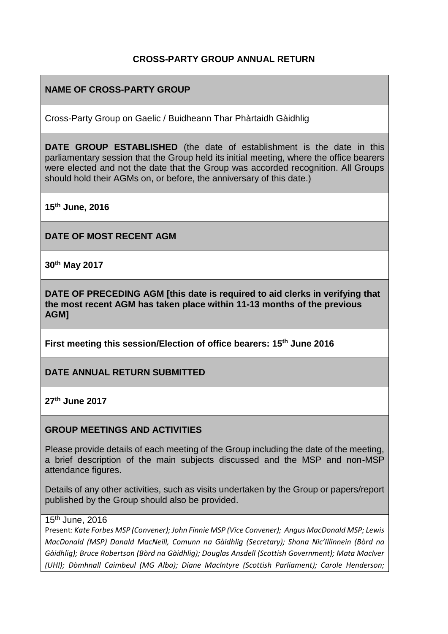### **CROSS-PARTY GROUP ANNUAL RETURN**

## **NAME OF CROSS-PARTY GROUP**

Cross-Party Group on Gaelic / Buidheann Thar Phàrtaidh Gàidhlig

**DATE GROUP ESTABLISHED** (the date of establishment is the date in this parliamentary session that the Group held its initial meeting, where the office bearers were elected and not the date that the Group was accorded recognition. All Groups should hold their AGMs on, or before, the anniversary of this date.)

**15th June, 2016**

**DATE OF MOST RECENT AGM**

**30th May 2017**

**DATE OF PRECEDING AGM [this date is required to aid clerks in verifying that the most recent AGM has taken place within 11-13 months of the previous AGM]**

**First meeting this session/Election of office bearers: 15th June 2016**

**DATE ANNUAL RETURN SUBMITTED**

**27th June 2017**

#### **GROUP MEETINGS AND ACTIVITIES**

Please provide details of each meeting of the Group including the date of the meeting, a brief description of the main subjects discussed and the MSP and non-MSP attendance figures.

Details of any other activities, such as visits undertaken by the Group or papers/report published by the Group should also be provided.

15<sup>th</sup> June, 2016

Present: *Kate Forbes MSP (Convener); John Finnie MSP (Vice Convener); Angus MacDonald MSP; Lewis MacDonald (MSP) Donald MacNeill, Comunn na Gàidhlig (Secretary); Shona Nic'Illinnein (Bòrd na Gàidhlig); Bruce Robertson (Bòrd na Gàidhlig); Douglas Ansdell (Scottish Government); Mata MacIver (UHI); Dòmhnall Caimbeul (MG Alba); Diane MacIntyre (Scottish Parliament); Carole Henderson;*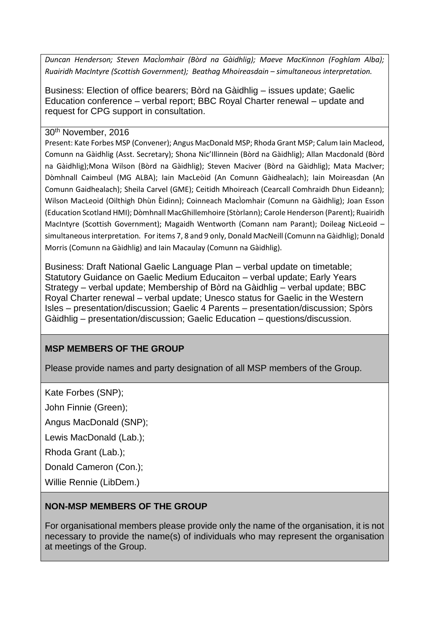*Duncan Henderson; Steven MacÌomhair (Bòrd na Gàidhlig); Maeve MacKinnon (Foghlam Alba); Ruairidh MacIntyre (Scottish Government); Beathag Mhoireasdain – simultaneous interpretation.*

Business: Election of office bearers; Bòrd na Gàidhlig – issues update; Gaelic Education conference – verbal report; BBC Royal Charter renewal – update and request for CPG support in consultation.

#### 30th November, 2016

Present: Kate Forbes MSP (Convener); Angus MacDonald MSP; Rhoda Grant MSP; Calum Iain Macleod, Comunn na Gàidhlig (Asst. Secretary); Shona Nic'Illinnein (Bòrd na Gàidhlig); Allan Macdonald (Bòrd na Gàidhlig);Mona Wilson (Bòrd na Gàidhlig); Steven Maciver (Bòrd na Gàidhlig); Mata MacIver; Dòmhnall Caimbeul (MG ALBA); Iain MacLeòid (An Comunn Gàidhealach); Iain Moireasdan (An Comunn Gaidhealach); Sheila Carvel (GME); Ceitidh Mhoireach (Cearcall Comhraidh Dhun Eideann); Wilson MacLeoid (Oilthigh Dhùn Èidinn); Coinneach MacÌomhair (Comunn na Gàidhlig); Joan Esson (Education Scotland HMI); Dòmhnall MacGhillemhoire (Stòrlann); Carole Henderson (Parent); Ruairidh MacIntyre (Scottish Government); Magaidh Wentworth (Comann nam Parant); Doileag NicLeoid – simultaneous interpretation*.* For items 7, 8 and 9 only, Donald MacNeill (Comunn na Gàidhlig); Donald Morris (Comunn na Gàidhlig) and Iain Macaulay (Comunn na Gàidhlig).

Business: Draft National Gaelic Language Plan – verbal update on timetable; Statutory Guidance on Gaelic Medium Educaiton – verbal update; Early Years Strategy – verbal update; Membership of Bòrd na Gàidhlig – verbal update; BBC Royal Charter renewal – verbal update; Unesco status for Gaelic in the Western Isles – presentation/discussion; Gaelic 4 Parents – presentation/discussion; Spòrs Gàidhlig – presentation/discussion; Gaelic Education – questions/discussion.

### **MSP MEMBERS OF THE GROUP**

Please provide names and party designation of all MSP members of the Group.

Kate Forbes (SNP);

John Finnie (Green);

Angus MacDonald (SNP);

Lewis MacDonald (Lab.);

Rhoda Grant (Lab.);

Donald Cameron (Con.);

Willie Rennie (LibDem.)

### **NON-MSP MEMBERS OF THE GROUP**

For organisational members please provide only the name of the organisation, it is not necessary to provide the name(s) of individuals who may represent the organisation at meetings of the Group.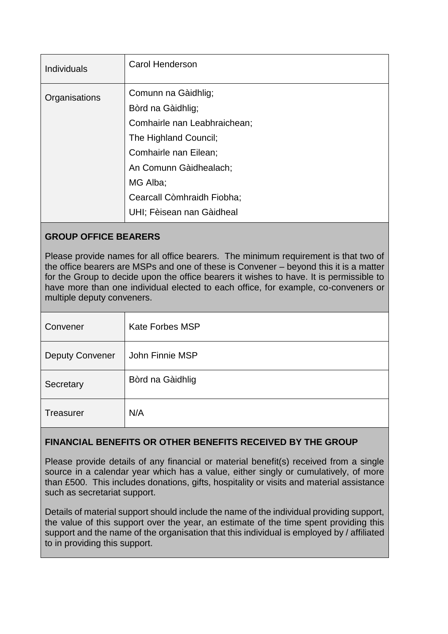| <b>Individuals</b> | Carol Henderson                                                                                                                                                                                                             |
|--------------------|-----------------------------------------------------------------------------------------------------------------------------------------------------------------------------------------------------------------------------|
| Organisations      | Comunn na Gàidhlig;<br>Bòrd na Gàidhlig;<br>Comhairle nan Leabhraichean;<br>The Highland Council;<br>Comhairle nan Eilean;<br>An Comunn Gàidhealach;<br>MG Alba;<br>Cearcall Còmhraidh Fiobha;<br>UHI; Fèisean nan Gàidheal |

# **GROUP OFFICE BEARERS**

Please provide names for all office bearers. The minimum requirement is that two of the office bearers are MSPs and one of these is Convener – beyond this it is a matter for the Group to decide upon the office bearers it wishes to have. It is permissible to have more than one individual elected to each office, for example, co-conveners or multiple deputy conveners.

| Convener               | <b>Kate Forbes MSP</b> |
|------------------------|------------------------|
| <b>Deputy Convener</b> | John Finnie MSP        |
| Secretary              | Bòrd na Gàidhlig       |
| <b>Treasurer</b>       | N/A                    |

### **FINANCIAL BENEFITS OR OTHER BENEFITS RECEIVED BY THE GROUP**

Please provide details of any financial or material benefit(s) received from a single source in a calendar year which has a value, either singly or cumulatively, of more than £500. This includes donations, gifts, hospitality or visits and material assistance such as secretariat support.

Details of material support should include the name of the individual providing support, the value of this support over the year, an estimate of the time spent providing this support and the name of the organisation that this individual is employed by / affiliated to in providing this support.